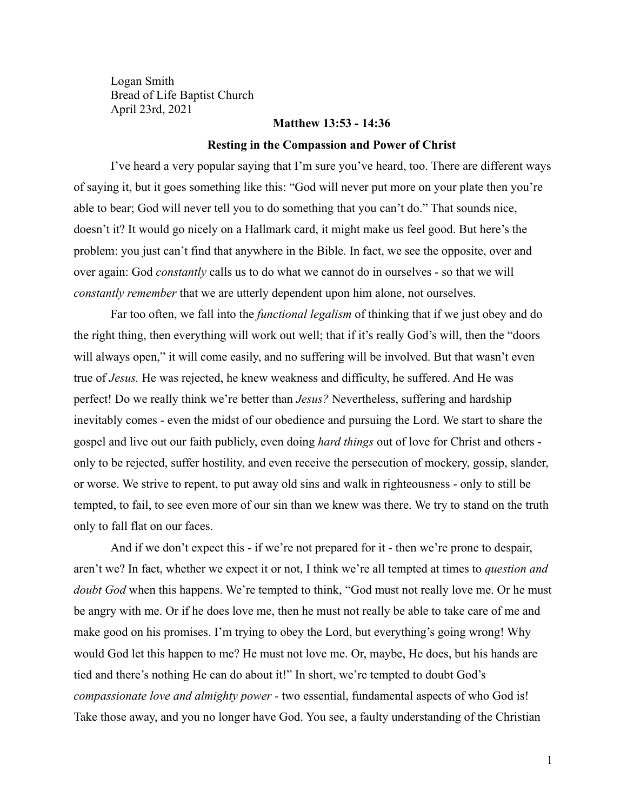Logan Smith Bread of Life Baptist Church April 23rd, 2021

## **Matthew 13:53 - 14:36**

#### **Resting in the Compassion and Power of Christ**

I've heard a very popular saying that I'm sure you've heard, too. There are different ways of saying it, but it goes something like this: "God will never put more on your plate then you're able to bear; God will never tell you to do something that you can't do." That sounds nice, doesn't it? It would go nicely on a Hallmark card, it might make us feel good. But here's the problem: you just can't find that anywhere in the Bible. In fact, we see the opposite, over and over again: God *constantly* calls us to do what we cannot do in ourselves - so that we will *constantly remember* that we are utterly dependent upon him alone, not ourselves.

Far too often, we fall into the *functional legalism* of thinking that if we just obey and do the right thing, then everything will work out well; that if it's really God's will, then the "doors will always open," it will come easily, and no suffering will be involved. But that wasn't even true of *Jesus.* He was rejected, he knew weakness and difficulty, he suffered. And He was perfect! Do we really think we're better than *Jesus?* Nevertheless, suffering and hardship inevitably comes - even the midst of our obedience and pursuing the Lord. We start to share the gospel and live out our faith publicly, even doing *hard things* out of love for Christ and others only to be rejected, suffer hostility, and even receive the persecution of mockery, gossip, slander, or worse. We strive to repent, to put away old sins and walk in righteousness - only to still be tempted, to fail, to see even more of our sin than we knew was there. We try to stand on the truth only to fall flat on our faces.

And if we don't expect this - if we're not prepared for it - then we're prone to despair, aren't we? In fact, whether we expect it or not, I think we're all tempted at times to *question and doubt God* when this happens. We're tempted to think, "God must not really love me. Or he must be angry with me. Or if he does love me, then he must not really be able to take care of me and make good on his promises. I'm trying to obey the Lord, but everything's going wrong! Why would God let this happen to me? He must not love me. Or, maybe, He does, but his hands are tied and there's nothing He can do about it!" In short, we're tempted to doubt God's *compassionate love and almighty power -* two essential, fundamental aspects of who God is! Take those away, and you no longer have God. You see, a faulty understanding of the Christian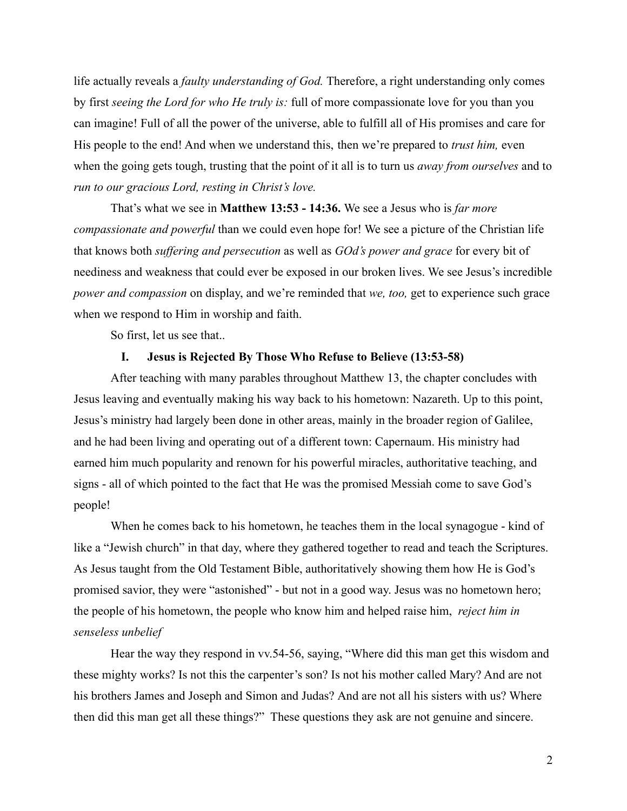life actually reveals a *faulty understanding of God.* Therefore, a right understanding only comes by first *seeing the Lord for who He truly is:* full of more compassionate love for you than you can imagine! Full of all the power of the universe, able to fulfill all of His promises and care for His people to the end! And when we understand this, then we're prepared to *trust him,* even when the going gets tough, trusting that the point of it all is to turn us *away from ourselves* and to *run to our gracious Lord, resting in Christ's love.*

That's what we see in **Matthew 13:53 - 14:36.** We see a Jesus who is *far more compassionate and powerful* than we could even hope for! We see a picture of the Christian life that knows both *suffering and persecution* as well as *GOd's power and grace* for every bit of neediness and weakness that could ever be exposed in our broken lives. We see Jesus's incredible *power and compassion* on display, and we're reminded that *we, too,* get to experience such grace when we respond to Him in worship and faith.

So first, let us see that..

# **I. Jesus is Rejected By Those Who Refuse to Believe (13:53-58)**

After teaching with many parables throughout Matthew 13, the chapter concludes with Jesus leaving and eventually making his way back to his hometown: Nazareth. Up to this point, Jesus's ministry had largely been done in other areas, mainly in the broader region of Galilee, and he had been living and operating out of a different town: Capernaum. His ministry had earned him much popularity and renown for his powerful miracles, authoritative teaching, and signs - all of which pointed to the fact that He was the promised Messiah come to save God's people!

When he comes back to his hometown, he teaches them in the local synagogue - kind of like a "Jewish church" in that day, where they gathered together to read and teach the Scriptures. As Jesus taught from the Old Testament Bible, authoritatively showing them how He is God's promised savior, they were "astonished" - but not in a good way. Jesus was no hometown hero; the people of his hometown, the people who know him and helped raise him, *reject him in senseless unbelief*

Hear the way they respond in vv.54-56, saying, "Where did this man get this wisdom and these mighty works? Is not this the carpenter's son? Is not his mother called Mary? And are not his brothers James and Joseph and Simon and Judas? And are not all his sisters with us? Where then did this man get all these things?" These questions they ask are not genuine and sincere.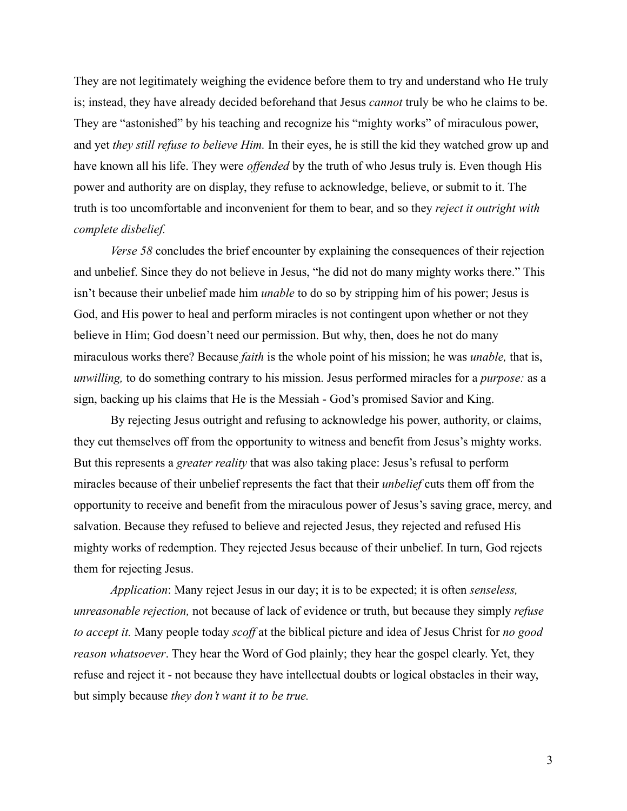They are not legitimately weighing the evidence before them to try and understand who He truly is; instead, they have already decided beforehand that Jesus *cannot* truly be who he claims to be. They are "astonished" by his teaching and recognize his "mighty works" of miraculous power, and yet *they still refuse to believe Him.* In their eyes, he is still the kid they watched grow up and have known all his life. They were *offended* by the truth of who Jesus truly is. Even though His power and authority are on display, they refuse to acknowledge, believe, or submit to it. The truth is too uncomfortable and inconvenient for them to bear, and so they *reject it outright with complete disbelief.*

*Verse 58* concludes the brief encounter by explaining the consequences of their rejection and unbelief. Since they do not believe in Jesus, "he did not do many mighty works there." This isn't because their unbelief made him *unable* to do so by stripping him of his power; Jesus is God, and His power to heal and perform miracles is not contingent upon whether or not they believe in Him; God doesn't need our permission. But why, then, does he not do many miraculous works there? Because *faith* is the whole point of his mission; he was *unable,* that is, *unwilling,* to do something contrary to his mission. Jesus performed miracles for a *purpose:* as a sign, backing up his claims that He is the Messiah - God's promised Savior and King.

By rejecting Jesus outright and refusing to acknowledge his power, authority, or claims, they cut themselves off from the opportunity to witness and benefit from Jesus's mighty works. But this represents a *greater reality* that was also taking place: Jesus's refusal to perform miracles because of their unbelief represents the fact that their *unbelief* cuts them off from the opportunity to receive and benefit from the miraculous power of Jesus's saving grace, mercy, and salvation. Because they refused to believe and rejected Jesus, they rejected and refused His mighty works of redemption. They rejected Jesus because of their unbelief. In turn, God rejects them for rejecting Jesus.

*Application*: Many reject Jesus in our day; it is to be expected; it is often *senseless, unreasonable rejection,* not because of lack of evidence or truth, but because they simply *refuse to accept it.* Many people today *scoff* at the biblical picture and idea of Jesus Christ for *no good reason whatsoever*. They hear the Word of God plainly; they hear the gospel clearly. Yet, they refuse and reject it - not because they have intellectual doubts or logical obstacles in their way, but simply because *they don't want it to be true.*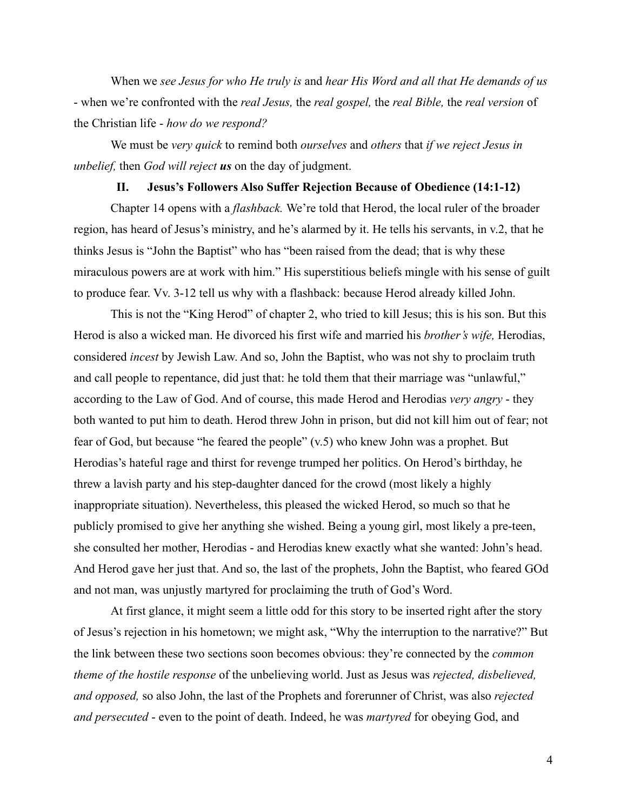When we *see Jesus for who He truly is* and *hear His Word and all that He demands of us* - when we're confronted with the *real Jesus,* the *real gospel,* the *real Bible,* the *real version* of the Christian life - *how do we respond?*

We must be *very quick* to remind both *ourselves* and *others* that *if we reject Jesus in unbelief,* then *God will reject us* on the day of judgment.

# **II. Jesus's Followers Also Suffer Rejection Because of Obedience (14:1-12)**

Chapter 14 opens with a *flashback.* We're told that Herod, the local ruler of the broader region, has heard of Jesus's ministry, and he's alarmed by it. He tells his servants, in v.2, that he thinks Jesus is "John the Baptist" who has "been raised from the dead; that is why these miraculous powers are at work with him." His superstitious beliefs mingle with his sense of guilt to produce fear. Vv. 3-12 tell us why with a flashback: because Herod already killed John.

This is not the "King Herod" of chapter 2, who tried to kill Jesus; this is his son. But this Herod is also a wicked man. He divorced his first wife and married his *brother's wife,* Herodias, considered *incest* by Jewish Law. And so, John the Baptist, who was not shy to proclaim truth and call people to repentance, did just that: he told them that their marriage was "unlawful," according to the Law of God. And of course, this made Herod and Herodias *very angry* - they both wanted to put him to death. Herod threw John in prison, but did not kill him out of fear; not fear of God, but because "he feared the people" (v.5) who knew John was a prophet. But Herodias's hateful rage and thirst for revenge trumped her politics. On Herod's birthday, he threw a lavish party and his step-daughter danced for the crowd (most likely a highly inappropriate situation). Nevertheless, this pleased the wicked Herod, so much so that he publicly promised to give her anything she wished. Being a young girl, most likely a pre-teen, she consulted her mother, Herodias - and Herodias knew exactly what she wanted: John's head. And Herod gave her just that. And so, the last of the prophets, John the Baptist, who feared GOd and not man, was unjustly martyred for proclaiming the truth of God's Word.

At first glance, it might seem a little odd for this story to be inserted right after the story of Jesus's rejection in his hometown; we might ask, "Why the interruption to the narrative?" But the link between these two sections soon becomes obvious: they're connected by the *common theme of the hostile response* of the unbelieving world. Just as Jesus was *rejected, disbelieved, and opposed,* so also John, the last of the Prophets and forerunner of Christ, was also *rejected and persecuted* - even to the point of death. Indeed, he was *martyred* for obeying God, and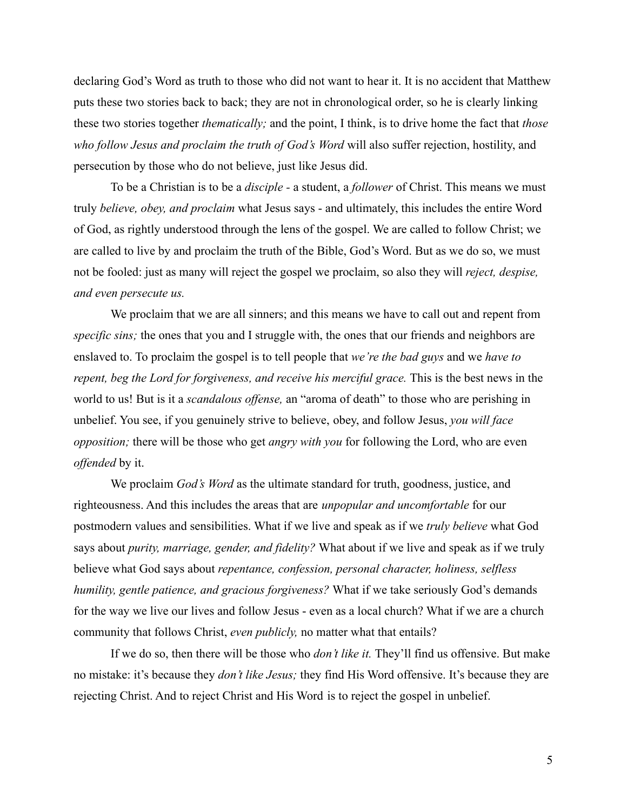declaring God's Word as truth to those who did not want to hear it. It is no accident that Matthew puts these two stories back to back; they are not in chronological order, so he is clearly linking these two stories together *thematically;* and the point, I think, is to drive home the fact that *those who follow Jesus and proclaim the truth of God's Word* will also suffer rejection, hostility, and persecution by those who do not believe, just like Jesus did.

To be a Christian is to be a *disciple -* a student, a *follower* of Christ. This means we must truly *believe, obey, and proclaim* what Jesus says - and ultimately, this includes the entire Word of God, as rightly understood through the lens of the gospel. We are called to follow Christ; we are called to live by and proclaim the truth of the Bible, God's Word. But as we do so, we must not be fooled: just as many will reject the gospel we proclaim, so also they will *reject, despise, and even persecute us.*

We proclaim that we are all sinners; and this means we have to call out and repent from *specific sins;* the ones that you and I struggle with, the ones that our friends and neighbors are enslaved to. To proclaim the gospel is to tell people that *we're the bad guys* and we *have to repent, beg the Lord for forgiveness, and receive his merciful grace.* This is the best news in the world to us! But is it a *scandalous offense,* an "aroma of death" to those who are perishing in unbelief. You see, if you genuinely strive to believe, obey, and follow Jesus, *you will face opposition;* there will be those who get *angry with you* for following the Lord, who are even *offended* by it.

We proclaim *God's Word* as the ultimate standard for truth, goodness, justice, and righteousness. And this includes the areas that are *unpopular and uncomfortable* for our postmodern values and sensibilities. What if we live and speak as if we *truly believe* what God says about *purity, marriage, gender, and fidelity?* What about if we live and speak as if we truly believe what God says about *repentance, confession, personal character, holiness, selfless humility, gentle patience, and gracious forgiveness?* What if we take seriously God's demands for the way we live our lives and follow Jesus - even as a local church? What if we are a church community that follows Christ, *even publicly,* no matter what that entails?

If we do so, then there will be those who *don't like it.* They'll find us offensive. But make no mistake: it's because they *don't like Jesus;* they find His Word offensive. It's because they are rejecting Christ. And to reject Christ and His Word is to reject the gospel in unbelief.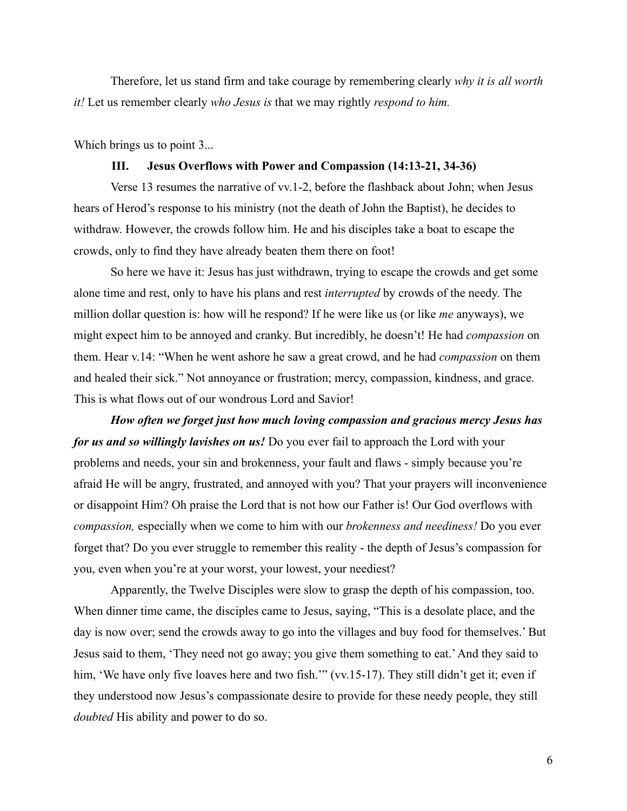Therefore, let us stand firm and take courage by remembering clearly *why it is all worth it!* Let us remember clearly *who Jesus is* that we may rightly *respond to him.*

Which brings us to point 3...

### **III. Jesus Overflows with Power and Compassion (14:13-21, 34-36)**

Verse 13 resumes the narrative of vv.1-2, before the flashback about John; when Jesus hears of Herod's response to his ministry (not the death of John the Baptist), he decides to withdraw. However, the crowds follow him. He and his disciples take a boat to escape the crowds, only to find they have already beaten them there on foot!

So here we have it: Jesus has just withdrawn, trying to escape the crowds and get some alone time and rest, only to have his plans and rest *interrupted* by crowds of the needy. The million dollar question is: how will he respond? If he were like us (or like *me* anyways), we might expect him to be annoyed and cranky. But incredibly, he doesn't! He had *compassion* on them. Hear v.14: "When he went ashore he saw a great crowd, and he had *compassion* on them and healed their sick." Not annoyance or frustration; mercy, compassion, kindness, and grace. This is what flows out of our wondrous Lord and Savior!

*How often we forget just how much loving compassion and gracious mercy Jesus has for us and so willingly lavishes on us!* Do you ever fail to approach the Lord with your problems and needs, your sin and brokenness, your fault and flaws - simply because you're afraid He will be angry, frustrated, and annoyed with you? That your prayers will inconvenience or disappoint Him? Oh praise the Lord that is not how our Father is! Our God overflows with *compassion,* especially when we come to him with our *brokenness and neediness!* Do you ever forget that? Do you ever struggle to remember this reality - the depth of Jesus's compassion for you, even when you're at your worst, your lowest, your neediest?

Apparently, the Twelve Disciples were slow to grasp the depth of his compassion, too. When dinner time came, the disciples came to Jesus, saying, "This is a desolate place, and the day is now over; send the crowds away to go into the villages and buy food for themselves.' But Jesus said to them, 'They need not go away; you give them something to eat.'And they said to him, 'We have only five loaves here and two fish.'" (vv.15-17). They still didn't get it; even if they understood now Jesus's compassionate desire to provide for these needy people, they still *doubted* His ability and power to do so.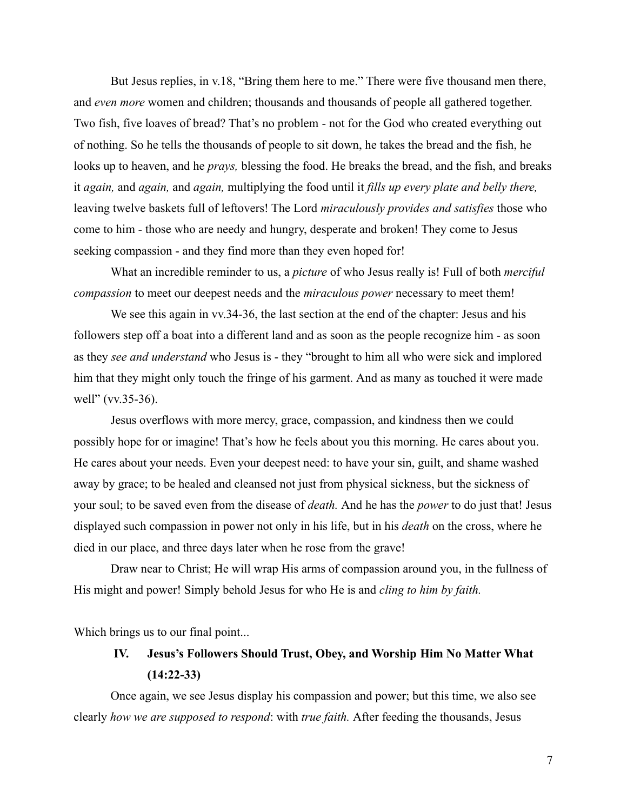But Jesus replies, in v.18, "Bring them here to me." There were five thousand men there, and *even more* women and children; thousands and thousands of people all gathered together. Two fish, five loaves of bread? That's no problem - not for the God who created everything out of nothing. So he tells the thousands of people to sit down, he takes the bread and the fish, he looks up to heaven, and he *prays,* blessing the food. He breaks the bread, and the fish, and breaks it *again,* and *again,* and *again,* multiplying the food until it *fills up every plate and belly there,* leaving twelve baskets full of leftovers! The Lord *miraculously provides and satisfies* those who come to him - those who are needy and hungry, desperate and broken! They come to Jesus seeking compassion - and they find more than they even hoped for!

What an incredible reminder to us, a *picture* of who Jesus really is! Full of both *merciful compassion* to meet our deepest needs and the *miraculous power* necessary to meet them!

We see this again in vv.34-36, the last section at the end of the chapter: Jesus and his followers step off a boat into a different land and as soon as the people recognize him - as soon as they *see and understand* who Jesus is - they "brought to him all who were sick and implored him that they might only touch the fringe of his garment. And as many as touched it were made well" (vv.35-36).

Jesus overflows with more mercy, grace, compassion, and kindness then we could possibly hope for or imagine! That's how he feels about you this morning. He cares about you. He cares about your needs. Even your deepest need: to have your sin, guilt, and shame washed away by grace; to be healed and cleansed not just from physical sickness, but the sickness of your soul; to be saved even from the disease of *death.* And he has the *power* to do just that! Jesus displayed such compassion in power not only in his life, but in his *death* on the cross, where he died in our place, and three days later when he rose from the grave!

Draw near to Christ; He will wrap His arms of compassion around you, in the fullness of His might and power! Simply behold Jesus for who He is and *cling to him by faith.*

Which brings us to our final point...

# **IV. Jesus's Followers Should Trust, Obey, and Worship Him No Matter What (14:22-33)**

Once again, we see Jesus display his compassion and power; but this time, we also see clearly *how we are supposed to respond*: with *true faith.* After feeding the thousands, Jesus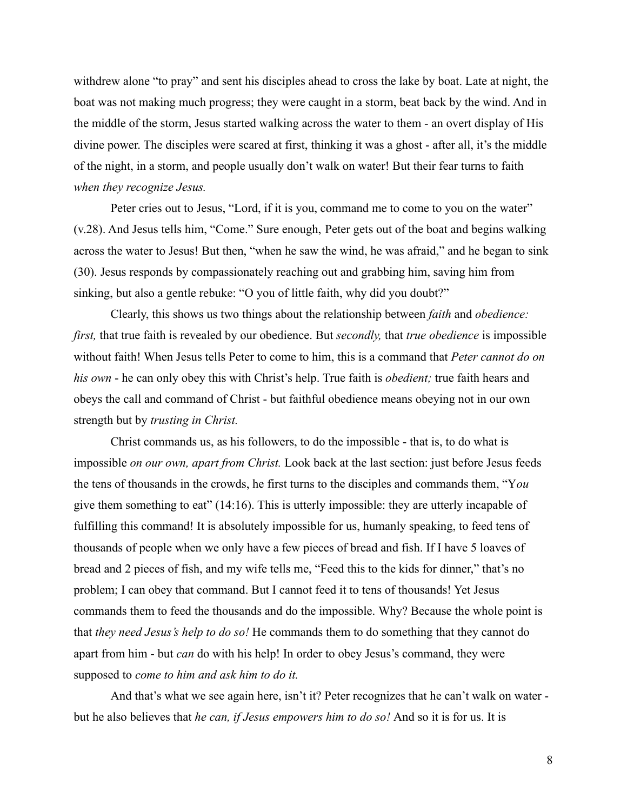withdrew alone "to pray" and sent his disciples ahead to cross the lake by boat. Late at night, the boat was not making much progress; they were caught in a storm, beat back by the wind. And in the middle of the storm, Jesus started walking across the water to them - an overt display of His divine power. The disciples were scared at first, thinking it was a ghost - after all, it's the middle of the night, in a storm, and people usually don't walk on water! But their fear turns to faith *when they recognize Jesus.*

Peter cries out to Jesus, "Lord, if it is you, command me to come to you on the water" (v.28). And Jesus tells him, "Come." Sure enough, Peter gets out of the boat and begins walking across the water to Jesus! But then, "when he saw the wind, he was afraid," and he began to sink (30). Jesus responds by compassionately reaching out and grabbing him, saving him from sinking, but also a gentle rebuke: "O you of little faith, why did you doubt?"

Clearly, this shows us two things about the relationship between *faith* and *obedience: first,* that true faith is revealed by our obedience. But *secondly,* that *true obedience* is impossible without faith! When Jesus tells Peter to come to him, this is a command that *Peter cannot do on his own* - he can only obey this with Christ's help. True faith is *obedient;* true faith hears and obeys the call and command of Christ - but faithful obedience means obeying not in our own strength but by *trusting in Christ.*

Christ commands us, as his followers, to do the impossible - that is, to do what is impossible *on our own, apart from Christ.* Look back at the last section: just before Jesus feeds the tens of thousands in the crowds, he first turns to the disciples and commands them, "Y*ou* give them something to eat" (14:16). This is utterly impossible: they are utterly incapable of fulfilling this command! It is absolutely impossible for us, humanly speaking, to feed tens of thousands of people when we only have a few pieces of bread and fish. If I have 5 loaves of bread and 2 pieces of fish, and my wife tells me, "Feed this to the kids for dinner," that's no problem; I can obey that command. But I cannot feed it to tens of thousands! Yet Jesus commands them to feed the thousands and do the impossible. Why? Because the whole point is that *they need Jesus's help to do so!* He commands them to do something that they cannot do apart from him - but *can* do with his help! In order to obey Jesus's command, they were supposed to *come to him and ask him to do it.*

And that's what we see again here, isn't it? Peter recognizes that he can't walk on water but he also believes that *he can, if Jesus empowers him to do so!* And so it is for us. It is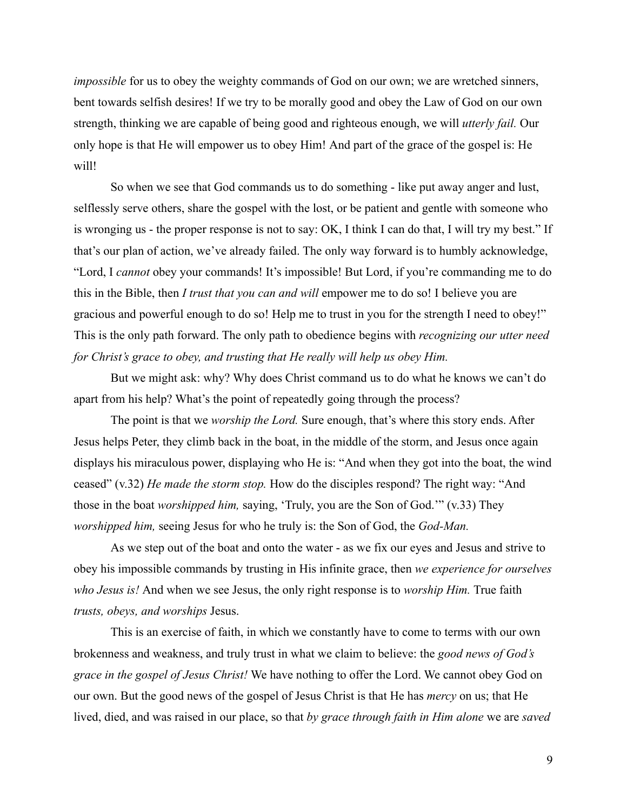*impossible* for us to obey the weighty commands of God on our own; we are wretched sinners, bent towards selfish desires! If we try to be morally good and obey the Law of God on our own strength, thinking we are capable of being good and righteous enough, we will *utterly fail.* Our only hope is that He will empower us to obey Him! And part of the grace of the gospel is: He will!

So when we see that God commands us to do something - like put away anger and lust, selflessly serve others, share the gospel with the lost, or be patient and gentle with someone who is wronging us - the proper response is not to say: OK, I think I can do that, I will try my best." If that's our plan of action, we've already failed. The only way forward is to humbly acknowledge, "Lord, I *cannot* obey your commands! It's impossible! But Lord, if you're commanding me to do this in the Bible, then *I trust that you can and will* empower me to do so! I believe you are gracious and powerful enough to do so! Help me to trust in you for the strength I need to obey!" This is the only path forward. The only path to obedience begins with *recognizing our utter need for Christ's grace to obey, and trusting that He really will help us obey Him.*

But we might ask: why? Why does Christ command us to do what he knows we can't do apart from his help? What's the point of repeatedly going through the process?

The point is that we *worship the Lord.* Sure enough, that's where this story ends. After Jesus helps Peter, they climb back in the boat, in the middle of the storm, and Jesus once again displays his miraculous power, displaying who He is: "And when they got into the boat, the wind ceased" (v.32) *He made the storm stop.* How do the disciples respond? The right way: "And those in the boat *worshipped him,* saying, 'Truly, you are the Son of God.'" (v.33) They *worshipped him,* seeing Jesus for who he truly is: the Son of God, the *God-Man.*

As we step out of the boat and onto the water - as we fix our eyes and Jesus and strive to obey his impossible commands by trusting in His infinite grace, then *we experience for ourselves who Jesus is!* And when we see Jesus, the only right response is to *worship Him.* True faith *trusts, obeys, and worships* Jesus.

This is an exercise of faith, in which we constantly have to come to terms with our own brokenness and weakness, and truly trust in what we claim to believe: the *good news of God's grace in the gospel of Jesus Christ!* We have nothing to offer the Lord. We cannot obey God on our own. But the good news of the gospel of Jesus Christ is that He has *mercy* on us; that He lived, died, and was raised in our place, so that *by grace through faith in Him alone* we are *saved*